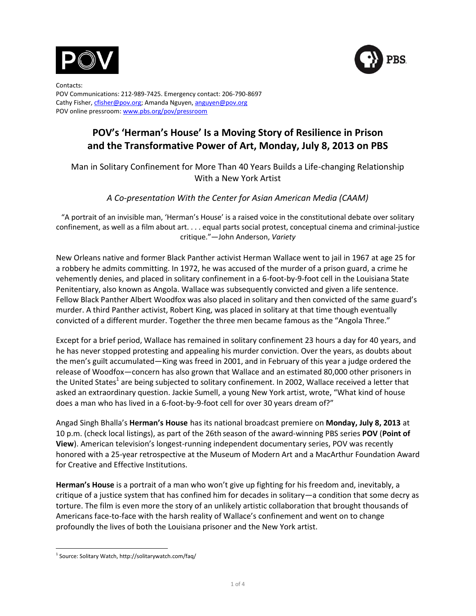



Contacts: POV Communications: 212-989-7425. Emergency contact: 206-790-8697 Cathy Fisher[, cfisher@pov.org;](mailto:cfisher@pov.org) Amanda Nguyen, anguyen@pov.org POV online pressroom[: www.pbs.org/pov/pressroom](http://www.pbs.org/pov/pressroom)

# **POV's 'Herman's House' Is a Moving Story of Resilience in Prison and the Transformative Power of Art, Monday, July 8, 2013 on PBS**

Man in Solitary Confinement for More Than 40 Years Builds a Life-changing Relationship With a New York Artist

## *A Co-presentation With the Center for Asian American Media (CAAM)*

"A portrait of an invisible man, 'Herman's House' is a raised voice in the constitutional debate over solitary confinement, as well as a film about art. . . . equal parts social protest, conceptual cinema and criminal-justice critique."—John Anderson, *Variety*

New Orleans native and former Black Panther activist Herman Wallace went to jail in 1967 at age 25 for a robbery he admits committing. In 1972, he was accused of the murder of a prison guard, a crime he vehemently denies, and placed in solitary confinement in a 6-foot-by-9-foot cell in the Louisiana State Penitentiary, also known as Angola. Wallace was subsequently convicted and given a life sentence. Fellow Black Panther Albert Woodfox was also placed in solitary and then convicted of the same guard's murder. A third Panther activist, Robert King, was placed in solitary at that time though eventually convicted of a different murder. Together the three men became famous as the "Angola Three."

Except for a brief period, Wallace has remained in solitary confinement 23 hours a day for 40 years, and he has never stopped protesting and appealing his murder conviction. Over the years, as doubts about the men's guilt accumulated—King was freed in 2001, and in February of this year a judge ordered the release of Woodfox—concern has also grown that Wallace and an estimated 80,000 other prisoners in the United States<sup>1</sup> are being subjected to solitary confinement. In 2002, Wallace received a letter that asked an extraordinary question. Jackie Sumell, a young New York artist, wrote, "What kind of house does a man who has lived in a 6-foot-by-9-foot cell for over 30 years dream of?"

Angad Singh Bhalla's **Herman's House** has its national broadcast premiere on **Monday, July 8, 2013** at 10 p.m. (check local listings), as part of the 26th season of the award-winning PBS series **POV** (**Point of View**). American television's longest-running independent documentary series, POV was recently honored with a 25-year retrospective at the Museum of Modern Art and a MacArthur Foundation Award for Creative and Effective Institutions.

**Herman's House** is a portrait of a man who won't give up fighting for his freedom and, inevitably, a critique of a justice system that has confined him for decades in solitary—a condition that some decry as torture. The film is even more the story of an unlikely artistic collaboration that brought thousands of Americans face-to-face with the harsh reality of Wallace's confinement and went on to change profoundly the lives of both the Louisiana prisoner and the New York artist.

 $\overline{a}$ 1 Source: Solitary Watch, http://solitarywatch.com/faq/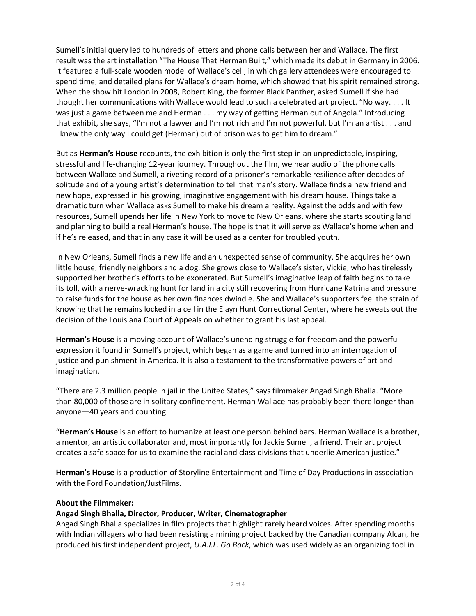Sumell's initial query led to hundreds of letters and phone calls between her and Wallace. The first result was the art installation "The House That Herman Built," which made its debut in Germany in 2006. It featured a full-scale wooden model of Wallace's cell, in which gallery attendees were encouraged to spend time, and detailed plans for Wallace's dream home, which showed that his spirit remained strong. When the show hit London in 2008, Robert King, the former Black Panther, asked Sumell if she had thought her communications with Wallace would lead to such a celebrated art project. "No way. . . . It was just a game between me and Herman . . . my way of getting Herman out of Angola." Introducing that exhibit, she says, "I'm not a lawyer and I'm not rich and I'm not powerful, but I'm an artist . . . and I knew the only way I could get (Herman) out of prison was to get him to dream."

But as **Herman's House** recounts, the exhibition is only the first step in an unpredictable, inspiring, stressful and life-changing 12-year journey. Throughout the film, we hear audio of the phone calls between Wallace and Sumell, a riveting record of a prisoner's remarkable resilience after decades of solitude and of a young artist's determination to tell that man's story. Wallace finds a new friend and new hope, expressed in his growing, imaginative engagement with his dream house. Things take a dramatic turn when Wallace asks Sumell to make his dream a reality. Against the odds and with few resources, Sumell upends her life in New York to move to New Orleans, where she starts scouting land and planning to build a real Herman's house. The hope is that it will serve as Wallace's home when and if he's released, and that in any case it will be used as a center for troubled youth.

In New Orleans, Sumell finds a new life and an unexpected sense of community. She acquires her own little house, friendly neighbors and a dog. She grows close to Wallace's sister, Vickie, who has tirelessly supported her brother's efforts to be exonerated. But Sumell's imaginative leap of faith begins to take its toll, with a nerve-wracking hunt for land in a city still recovering from Hurricane Katrina and pressure to raise funds for the house as her own finances dwindle. She and Wallace's supporters feel the strain of knowing that he remains locked in a cell in the Elayn Hunt Correctional Center, where he sweats out the decision of the Louisiana Court of Appeals on whether to grant his last appeal.

**Herman's House** is a moving account of Wallace's unending struggle for freedom and the powerful expression it found in Sumell's project, which began as a game and turned into an interrogation of justice and punishment in America. It is also a testament to the transformative powers of art and imagination.

"There are 2.3 million people in jail in the United States," says filmmaker Angad Singh Bhalla. "More than 80,000 of those are in solitary confinement. Herman Wallace has probably been there longer than anyone—40 years and counting.

"**Herman's House** is an effort to humanize at least one person behind bars. Herman Wallace is a brother, a mentor, an artistic collaborator and, most importantly for Jackie Sumell, a friend. Their art project creates a safe space for us to examine the racial and class divisions that underlie American justice."

**Herman's House** is a production of Storyline Entertainment and Time of Day Productions in association with the Ford Foundation/JustFilms.

## **About the Filmmaker:**

## **Angad Singh Bhalla, Director, Producer, Writer, Cinematographer**

Angad Singh Bhalla specializes in film projects that highlight rarely heard voices. After spending months with Indian villagers who had been resisting a mining project backed by the Canadian company Alcan, he produced his first independent project, *U.A.I.L. Go Back*, which was used widely as an organizing tool in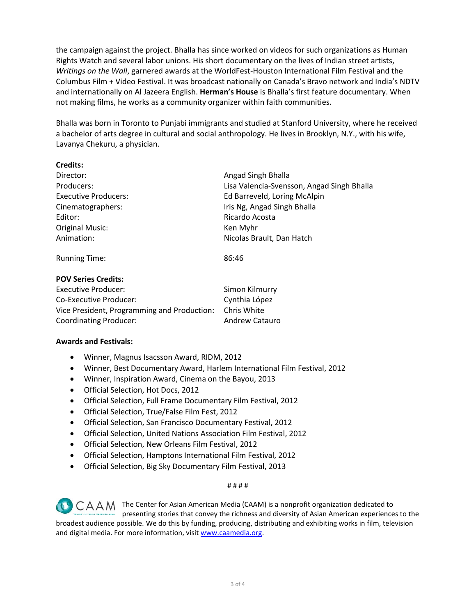the campaign against the project. Bhalla has since worked on videos for such organizations as Human Rights Watch and several labor unions. His short documentary on the lives of Indian street artists, *Writings on the Wall*, garnered awards at the WorldFest-Houston International Film Festival and the Columbus Film + Video Festival. It was broadcast nationally on Canada's Bravo network and India's NDTV and internationally on Al Jazeera English. **Herman's House** is Bhalla's first feature documentary. When not making films, he works as a community organizer within faith communities.

Bhalla was born in Toronto to Punjabi immigrants and studied at Stanford University, where he received a bachelor of arts degree in cultural and social anthropology. He lives in Brooklyn, N.Y., with his wife, Lavanya Chekuru, a physician.

| <b>Credits:</b>             |                                            |
|-----------------------------|--------------------------------------------|
| Director:                   | Angad Singh Bhalla                         |
| Producers:                  | Lisa Valencia-Svensson, Angad Singh Bhalla |
| <b>Executive Producers:</b> | Ed Barreveld, Loring McAlpin               |
| Cinematographers:           | Iris Ng, Angad Singh Bhalla                |
| Editor:                     | Ricardo Acosta                             |
| <b>Original Music:</b>      | Ken Myhr                                   |
| Animation:                  | Nicolas Brault, Dan Hatch                  |
| <b>Running Time:</b>        | 86:46                                      |

## **POV Series Credits:**

| Executive Producer:                         | Simon Kilmurry        |
|---------------------------------------------|-----------------------|
| Co-Executive Producer:                      | Cynthia López         |
| Vice President, Programming and Production: | Chris White           |
| <b>Coordinating Producer:</b>               | <b>Andrew Catauro</b> |

## **Awards and Festivals:**

- Winner, Magnus Isacsson Award, RIDM, 2012
- Winner, Best Documentary Award, Harlem International Film Festival, 2012
- Winner, Inspiration Award, Cinema on the Bayou, 2013
- Official Selection, Hot Docs, 2012
- Official Selection, Full Frame Documentary Film Festival, 2012
- Official Selection, True/False Film Fest, 2012
- Official Selection, San Francisco Documentary Festival, 2012
- Official Selection, United Nations Association Film Festival, 2012
- Official Selection, New Orleans Film Festival, 2012
- Official Selection, Hamptons International Film Festival, 2012
- Official Selection, Big Sky Documentary Film Festival, 2013

#### # # # #

CAAM The Center for Asian American Media (CAAM) is a nonprofit organization dedicated to presenting stories that convey the richness and diversity of Asian American experiences to the broadest audience possible. We do this by funding, producing, distributing and exhibiting works in film, television and digital media. For more information, visit [www.caamedia.org](http://www.caamedia.org/).